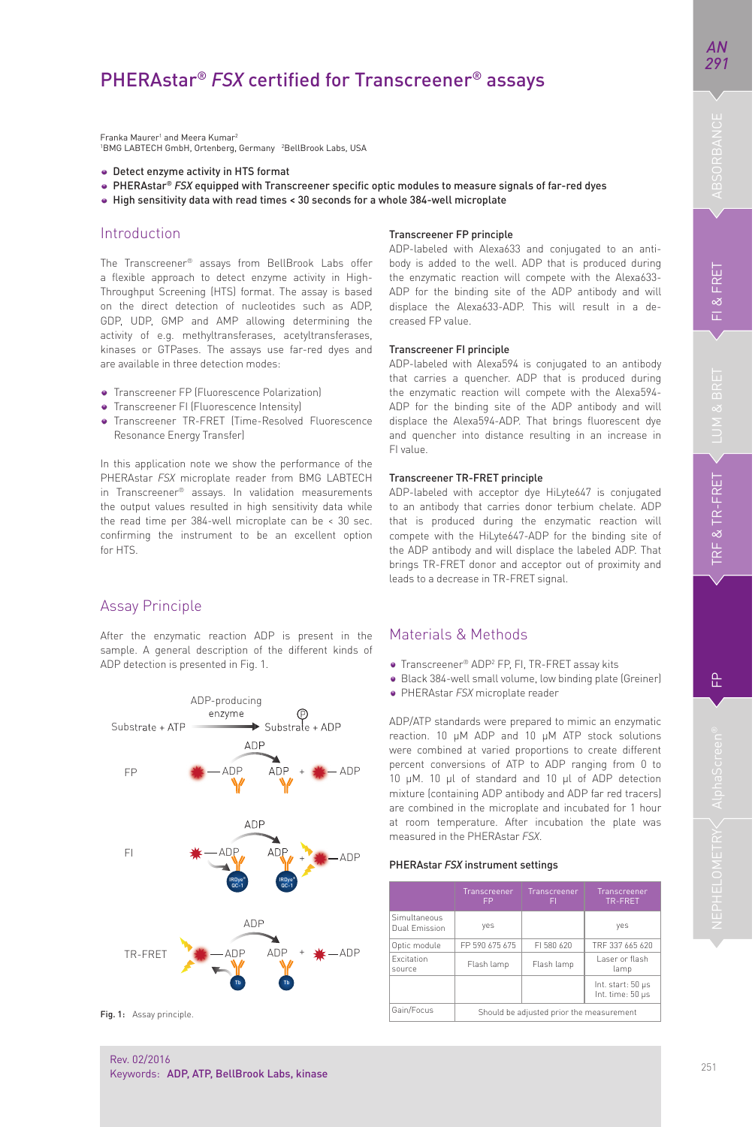*AN* 

욘

Franka Maurer<sup>1</sup> and Meera Kumar<sup>2</sup> 1 BMG LABTECH GmbH, Ortenberg, Germany 2 BellBrook Labs, USA

- Detect enzyme activity in HTS format
- PHERAstar<sup>®</sup> *FSX* equipped with Transcreener specific optic modules to measure signals of far-red dyes
- High sensitivity data with read times < 30 seconds for a whole 384-well microplate

## Introduction

The Transcreener® assays from BellBrook Labs offer a flexible approach to detect enzyme activity in High-Throughput Screening (HTS) format. The assay is based on the direct detection of nucleotides such as ADP, GDP, UDP, GMP and AMP allowing determining the activity of e.g. methyltransferases, acetyltransferases, kinases or GTPases. The assays use far-red dyes and are available in three detection modes:

- **•** Transcreener FP (Fluorescence Polarization)
- **•** Transcreener FI (Fluorescence Intensity)
- Transcreener TR-FRET (Time-Resolved Fluorescence Resonance Energy Transfer)

In this application note we show the performance of the PHERAstar *FSX* microplate reader from BMG LABTECH in Transcreener® assays. In validation measurements the output values resulted in high sensitivity data while the read time per 384-well microplate can be < 30 sec. confirming the instrument to be an excellent option for HTS.

# Assay Principle

After the enzymatic reaction ADP is present in the sample. A general description of the different kinds of ADP detection is presented in Fig. 1.



Fig. 1: Assay principle

### Transcreener FP principle

ADP-labeled with Alexa633 and conjugated to an antibody is added to the well. ADP that is produced during the enzymatic reaction will compete with the Alexa633- ADP for the binding site of the ADP antibody and will displace the Alexa633-ADP. This will result in a decreased FP value.

### Transcreener FI principle

ADP-labeled with Alexa594 is conjugated to an antibody that carries a quencher. ADP that is produced during the enzymatic reaction will compete with the Alexa594- ADP for the binding site of the ADP antibody and will displace the Alexa594-ADP. That brings fluorescent dye and quencher into distance resulting in an increase in FI value.

### Transcreener TR-FRET principle

ADP-labeled with acceptor dye HiLyte647 is conjugated to an antibody that carries donor terbium chelate. ADP that is produced during the enzymatic reaction will compete with the HiLyte647-ADP for the binding site of the ADP antibody and will displace the labeled ADP. That brings TR-FRET donor and acceptor out of proximity and leads to a decrease in TR-FRET signal.

## Materials & Methods

- Transcreener® ADP2 FP, FI, TR-FRET assay kits
- Black 384-well small volume, low binding plate (Greiner)
- PHERAstar *FSX* microplate reader

ADP/ATP standards were prepared to mimic an enzymatic reaction. 10 μM ADP and 10 μM ATP stock solutions were combined at varied proportions to create different percent conversions of ATP to ADP ranging from 0 to 10 μM. 10 μl of standard and 10 μl of ADP detection mixture (containing ADP antibody and ADP far red tracers) are combined in the microplate and incubated for 1 hour at room temperature. After incubation the plate was measured in the PHERAstar *FSX*.

#### PHERAstar *FSX* instrument settings

|                               | Transcreener<br><b>FP</b>                | Transcreener<br>FL. | Transcreener<br>TR-FRET               |  |  |
|-------------------------------|------------------------------------------|---------------------|---------------------------------------|--|--|
| Simultaneous<br>Dual Emission | yes                                      |                     | yes                                   |  |  |
| Optic module                  | FP 590 675 675                           | FI 580 620          | TRF 337 665 620                       |  |  |
| Excitation<br>source          | Flash lamp                               | Flash lamp          | Laser or flash<br>lamp                |  |  |
|                               |                                          |                     | Int. start: 50 µs<br>Int. time: 50 us |  |  |
| Gain/Focus                    | Should be adjusted prior the measurement |                     |                                       |  |  |